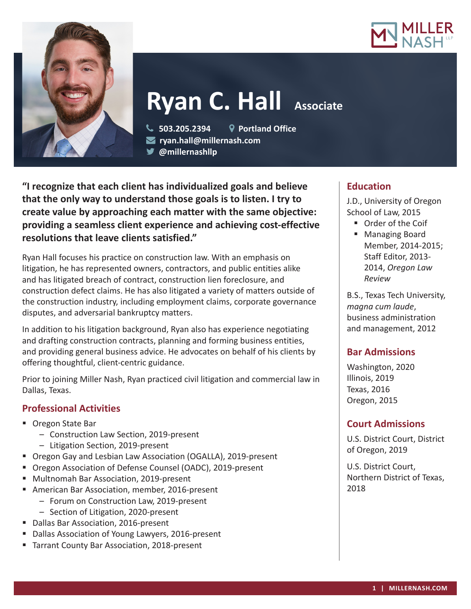



# **Ryan C. Hall Associate**

 **503.205.2394 Portland Office ryan.hall@millernash.com** 

**@millernashllp**

**"I recognize that each client has individualized goals and believe that the only way to understand those goals is to listen. I try to create value by approaching each matter with the same objective: providing a seamless client experience and achieving cost-effective resolutions that leave clients satisfied."**

Ryan Hall focuses his practice on construction law. With an emphasis on litigation, he has represented owners, contractors, and public entities alike and has litigated breach of contract, construction lien foreclosure, and construction defect claims. He has also litigated a variety of matters outside of the construction industry, including employment claims, corporate governance disputes, and adversarial bankruptcy matters.

In addition to his litigation background, Ryan also has experience negotiating and drafting construction contracts, planning and forming business entities, and providing general business advice. He advocates on behalf of his clients by offering thoughtful, client-centric guidance.

Prior to joining Miller Nash, Ryan practiced civil litigation and commercial law in Dallas, Texas.

# **Professional Activities**

- Oregon State Bar
	- Construction Law Section, 2019-present
	- Litigation Section, 2019-present
- Oregon Gay and Lesbian Law Association (OGALLA), 2019-present
- Oregon Association of Defense Counsel (OADC), 2019-present
- **Multnomah Bar Association, 2019-present**
- **American Bar Association, member, 2016-present** 
	- Forum on Construction Law, 2019-present
		- Section of Litigation, 2020-present
- Dallas Bar Association, 2016-present
- Dallas Association of Young Lawyers, 2016-present
- Tarrant County Bar Association, 2018-present

## **Education**

J.D., University of Oregon School of Law, 2015

- **Order of the Coif**
- Managing Board Member, 2014-2015; Staff Editor, 2013- 2014, *Oregon Law Review*

B.S., Texas Tech University, *magna cum laude*, business administration and management, 2012

# **Bar Admissions**

Washington, 2020 Illinois, 2019 Texas, 2016 Oregon, 2015

# **Court Admissions**

U.S. District Court, District of Oregon, 2019

U.S. District Court, Northern District of Texas, 2018